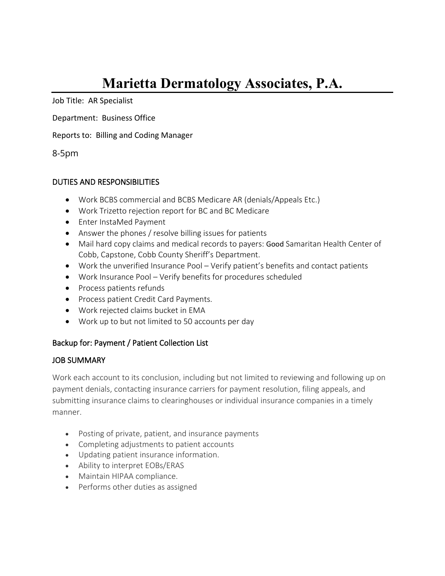# **Marietta Dermatology Associates, P.A.**

Job Title: AR Specialist

Department: Business Office

Reports to: Billing and Coding Manager

8-5pm

## DUTIES AND RESPONSIBILITIES

- Work BCBS commercial and BCBS Medicare AR (denials/Appeals Etc.)
- Work Trizetto rejection report for BC and BC Medicare
- Enter InstaMed Payment
- Answer the phones / resolve billing issues for patients
- Mail hard copy claims and medical records to payers: Good Samaritan Health Center of Cobb, Capstone, Cobb County Sheriff's Department.
- Work the unverified Insurance Pool Verify patient's benefits and contact patients
- Work Insurance Pool Verify benefits for procedures scheduled
- Process patients refunds
- Process patient Credit Card Payments.
- Work rejected claims bucket in EMA
- Work up to but not limited to 50 accounts per day

## Backup for: Payment / Patient Collection List

## JOB SUMMARY

Work each account to its conclusion, including but not limited to reviewing and following up on payment denials, contacting insurance carriers for payment resolution, filing appeals, and submitting insurance claims to clearinghouses or individual insurance companies in a timely manner.

- Posting of private, patient, and insurance payments
- Completing adjustments to patient accounts
- Updating patient insurance information.
- Ability to interpret EOBs/ERAS
- Maintain HIPAA compliance.
- Performs other duties as assigned